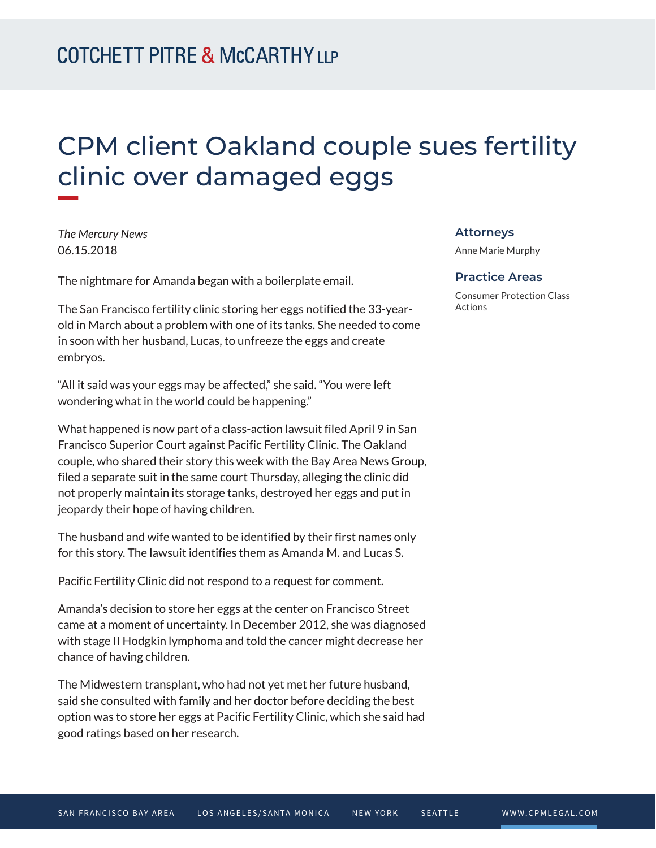# CPM client Oakland couple sues fertility clinic over damaged eggs

*The Mercury News* 06.15.2018

**William** 

The nightmare for Amanda began with a boilerplate email.

The San Francisco fertility clinic storing her eggs notified the 33-yearold in March about a problem with one of its tanks. She needed to come in soon with her husband, Lucas, to unfreeze the eggs and create embryos.

"All it said was your eggs may be affected," she said. "You were left wondering what in the world could be happening."

What happened is now part of a class-action lawsuit filed April 9 in San Francisco Superior Court against Pacific Fertility Clinic. The Oakland couple, who shared their story this week with the Bay Area News Group, filed a separate suit in the same court Thursday, alleging the clinic did not properly maintain its storage tanks, destroyed her eggs and put in jeopardy their hope of having children.

The husband and wife wanted to be identified by their first names only for this story. The lawsuit identifies them as Amanda M. and Lucas S.

Pacific Fertility Clinic did not respond to a request for comment.

Amanda's decision to store her eggs at the center on Francisco Street came at a moment of uncertainty. In December 2012, she was diagnosed with stage II Hodgkin lymphoma and told the cancer might decrease her chance of having children.

The Midwestern transplant, who had not yet met her future husband, said she consulted with family and her doctor before deciding the best option was to store her eggs at Pacific Fertility Clinic, which she said had good ratings based on her research.

#### **Attorneys**

Anne Marie Murphy

#### **Practice Areas**

Consumer Protection Class Actions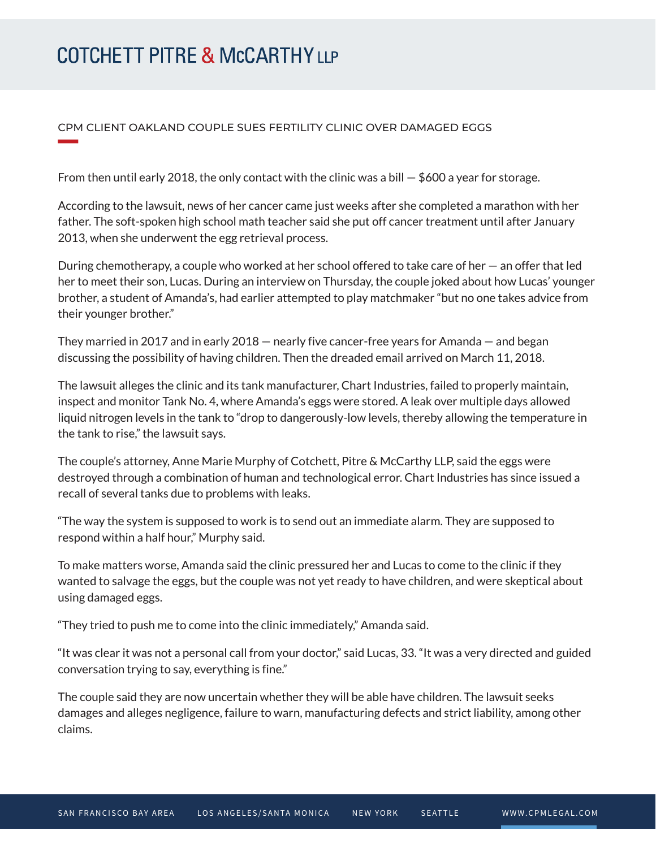# **COTCHETT PITRE & McCARTHY LLP**

**William Company** 

### CPM CLIENT OAKLAND COUPLE SUES FERTILITY CLINIC OVER DAMAGED EGGS

From then until early 2018, the only contact with the clinic was a bill  $-$  \$600 a year for storage.

According to the lawsuit, news of her cancer came just weeks after she completed a marathon with her father. The soft-spoken high school math teacher said she put off cancer treatment until after January 2013, when she underwent the egg retrieval process.

During chemotherapy, a couple who worked at her school offered to take care of her — an offer that led her to meet their son, Lucas. During an interview on Thursday, the couple joked about how Lucas' younger brother, a student of Amanda's, had earlier attempted to play matchmaker "but no one takes advice from their younger brother."

They married in 2017 and in early 2018 — nearly five cancer-free years for Amanda — and began discussing the possibility of having children. Then the dreaded email arrived on March 11, 2018.

The lawsuit alleges the clinic and its tank manufacturer, Chart Industries, failed to properly maintain, inspect and monitor Tank No. 4, where Amanda's eggs were stored. A leak over multiple days allowed liquid nitrogen levels in the tank to "drop to dangerously-low levels, thereby allowing the temperature in the tank to rise," the lawsuit says.

The couple's attorney, Anne Marie Murphy of Cotchett, Pitre & McCarthy LLP, said the eggs were destroyed through a combination of human and technological error. Chart Industries has since issued a recall of several tanks due to problems with leaks.

"The way the system is supposed to work is to send out an immediate alarm. They are supposed to respond within a half hour," Murphy said.

To make matters worse, Amanda said the clinic pressured her and Lucas to come to the clinic if they wanted to salvage the eggs, but the couple was not yet ready to have children, and were skeptical about using damaged eggs.

"They tried to push me to come into the clinic immediately," Amanda said.

"It was clear it was not a personal call from your doctor," said Lucas, 33. "It was a very directed and guided conversation trying to say, everything is fine."

The couple said they are now uncertain whether they will be able have children. The lawsuit seeks damages and alleges negligence, failure to warn, manufacturing defects and strict liability, among other claims.